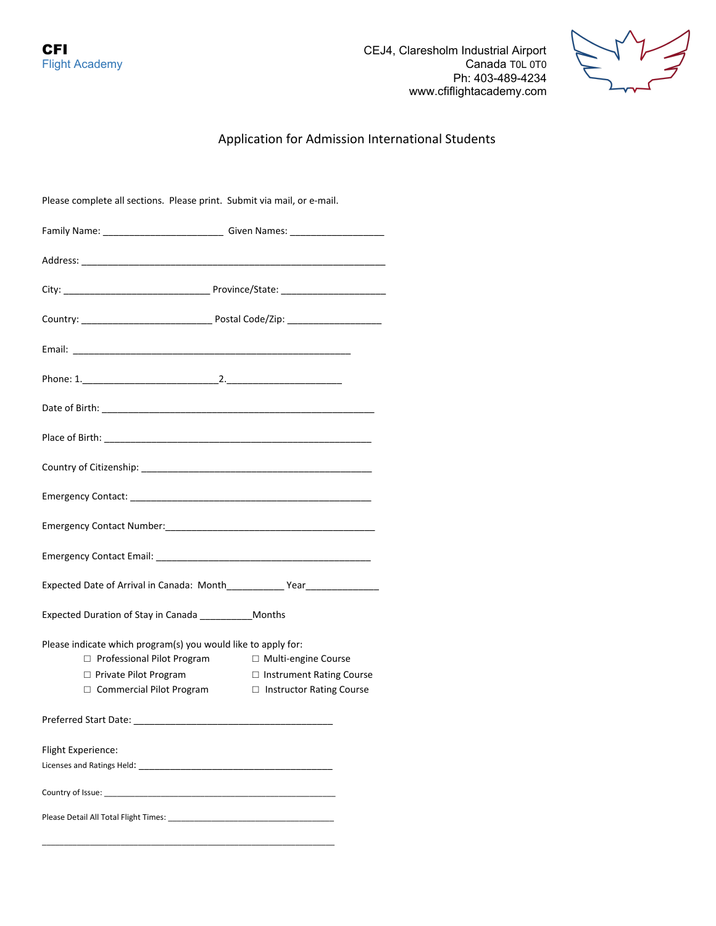**CFI** CEJ4, Claresholm Industrial Airport<br>Flight Academy Canada T0L 0T0 Canada T0L 0T0 Ph: 403-489-4234 www.cfiflightacademy.com



# Application for Admission International Students

| Please complete all sections. Please print. Submit via mail, or e-mail. |                                 |  |
|-------------------------------------------------------------------------|---------------------------------|--|
|                                                                         |                                 |  |
|                                                                         |                                 |  |
|                                                                         |                                 |  |
|                                                                         |                                 |  |
|                                                                         |                                 |  |
|                                                                         |                                 |  |
|                                                                         |                                 |  |
|                                                                         |                                 |  |
|                                                                         |                                 |  |
|                                                                         |                                 |  |
|                                                                         |                                 |  |
|                                                                         |                                 |  |
|                                                                         |                                 |  |
| Expected Duration of Stay in Canada ____________ Months                 |                                 |  |
| Please indicate which program(s) you would like to apply for:           |                                 |  |
| $\Box$ Professional Pilot Program                                       | □ Multi-engine Course           |  |
| $\Box$ Private Pilot Program                                            | □ Instrument Rating Course      |  |
| $\Box$ Commercial Pilot Program                                         | $\Box$ Instructor Rating Course |  |
| Preferred Start Date:                                                   |                                 |  |
| Flight Experience:                                                      |                                 |  |
|                                                                         |                                 |  |
|                                                                         |                                 |  |
|                                                                         |                                 |  |

\_\_\_\_\_\_\_\_\_\_\_\_\_\_\_\_\_\_\_\_\_\_\_\_\_\_\_\_\_\_\_\_\_\_\_\_\_\_\_\_\_\_\_\_\_\_\_\_\_\_\_\_\_\_\_\_\_\_\_\_\_\_\_\_\_\_\_